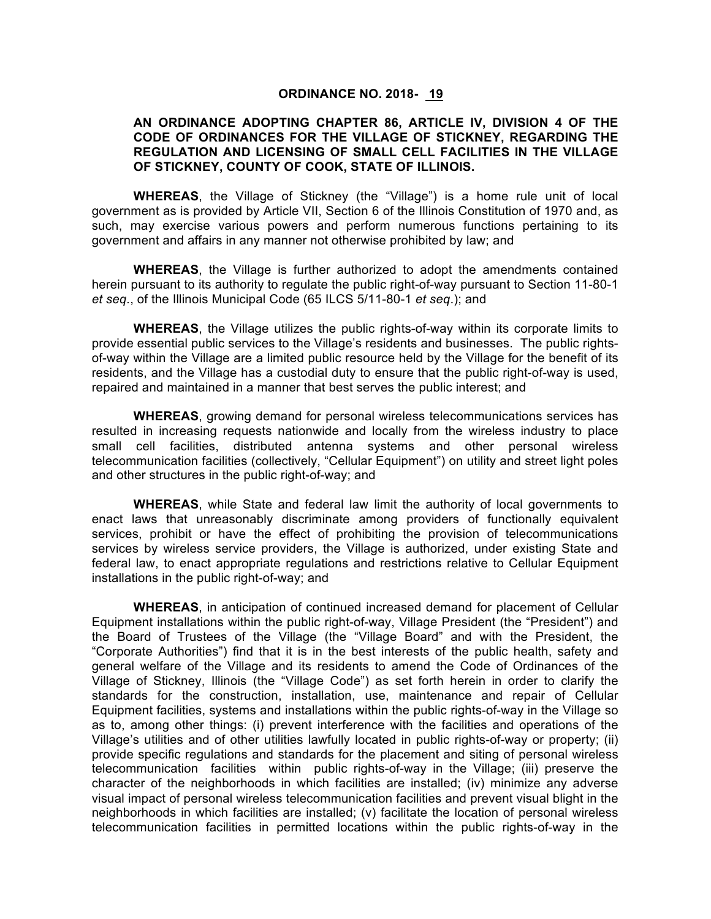#### **ORDINANCE NO. 2018- 19**

# **AN ORDINANCE ADOPTING CHAPTER 86, ARTICLE IV, DIVISION 4 OF THE CODE OF ORDINANCES FOR THE VILLAGE OF STICKNEY, REGARDING THE REGULATION AND LICENSING OF SMALL CELL FACILITIES IN THE VILLAGE OF STICKNEY, COUNTY OF COOK, STATE OF ILLINOIS.**

**WHEREAS**, the Village of Stickney (the "Village") is a home rule unit of local government as is provided by Article VII, Section 6 of the Illinois Constitution of 1970 and, as such, may exercise various powers and perform numerous functions pertaining to its government and affairs in any manner not otherwise prohibited by law; and

**WHEREAS**, the Village is further authorized to adopt the amendments contained herein pursuant to its authority to regulate the public right-of-way pursuant to Section 11-80-1 *et seq.*, of the Illinois Municipal Code (65 ILCS 5/11-80-1 *et seq*.); and

**WHEREAS**, the Village utilizes the public rights-of-way within its corporate limits to provide essential public services to the Village's residents and businesses. The public rightsof-way within the Village are a limited public resource held by the Village for the benefit of its residents, and the Village has a custodial duty to ensure that the public right-of-way is used, repaired and maintained in a manner that best serves the public interest; and

**WHEREAS**, growing demand for personal wireless telecommunications services has resulted in increasing requests nationwide and locally from the wireless industry to place small cell facilities, distributed antenna systems and other personal wireless telecommunication facilities (collectively, "Cellular Equipment") on utility and street light poles and other structures in the public right-of-way; and

**WHEREAS**, while State and federal law limit the authority of local governments to enact laws that unreasonably discriminate among providers of functionally equivalent services, prohibit or have the effect of prohibiting the provision of telecommunications services by wireless service providers, the Village is authorized, under existing State and federal law, to enact appropriate regulations and restrictions relative to Cellular Equipment installations in the public right-of-way; and

**WHEREAS**, in anticipation of continued increased demand for placement of Cellular Equipment installations within the public right-of-way, Village President (the "President") and the Board of Trustees of the Village (the "Village Board" and with the President, the "Corporate Authorities") find that it is in the best interests of the public health, safety and general welfare of the Village and its residents to amend the Code of Ordinances of the Village of Stickney, Illinois (the "Village Code") as set forth herein in order to clarify the standards for the construction, installation, use, maintenance and repair of Cellular Equipment facilities, systems and installations within the public rights-of-way in the Village so as to, among other things: (i) prevent interference with the facilities and operations of the Village's utilities and of other utilities lawfully located in public rights-of-way or property; (ii) provide specific regulations and standards for the placement and siting of personal wireless telecommunication facilities within public rights-of-way in the Village; (iii) preserve the character of the neighborhoods in which facilities are installed; (iv) minimize any adverse visual impact of personal wireless telecommunication facilities and prevent visual blight in the neighborhoods in which facilities are installed; (v) facilitate the location of personal wireless telecommunication facilities in permitted locations within the public rights-of-way in the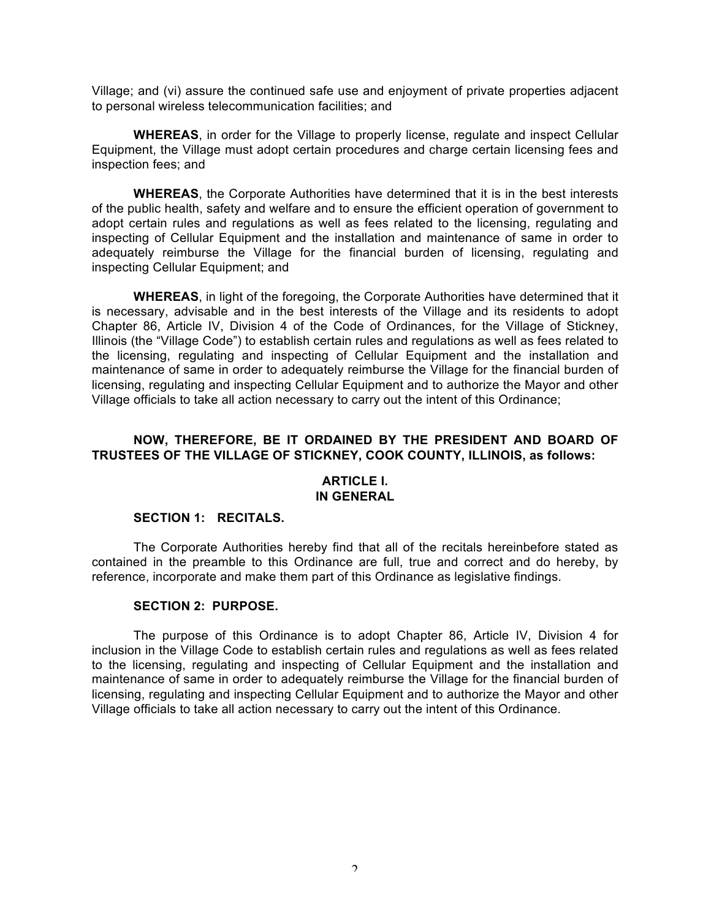Village; and (vi) assure the continued safe use and enjoyment of private properties adjacent to personal wireless telecommunication facilities; and

**WHEREAS**, in order for the Village to properly license, regulate and inspect Cellular Equipment, the Village must adopt certain procedures and charge certain licensing fees and inspection fees; and

**WHEREAS**, the Corporate Authorities have determined that it is in the best interests of the public health, safety and welfare and to ensure the efficient operation of government to adopt certain rules and regulations as well as fees related to the licensing, regulating and inspecting of Cellular Equipment and the installation and maintenance of same in order to adequately reimburse the Village for the financial burden of licensing, regulating and inspecting Cellular Equipment; and

**WHEREAS**, in light of the foregoing, the Corporate Authorities have determined that it is necessary, advisable and in the best interests of the Village and its residents to adopt Chapter 86, Article IV, Division 4 of the Code of Ordinances, for the Village of Stickney, Illinois (the "Village Code") to establish certain rules and regulations as well as fees related to the licensing, regulating and inspecting of Cellular Equipment and the installation and maintenance of same in order to adequately reimburse the Village for the financial burden of licensing, regulating and inspecting Cellular Equipment and to authorize the Mayor and other Village officials to take all action necessary to carry out the intent of this Ordinance;

# **NOW, THEREFORE, BE IT ORDAINED BY THE PRESIDENT AND BOARD OF TRUSTEES OF THE VILLAGE OF STICKNEY, COOK COUNTY, ILLINOIS, as follows:**

#### **ARTICLE I. IN GENERAL**

#### **SECTION 1: RECITALS.**

The Corporate Authorities hereby find that all of the recitals hereinbefore stated as contained in the preamble to this Ordinance are full, true and correct and do hereby, by reference, incorporate and make them part of this Ordinance as legislative findings.

#### **SECTION 2: PURPOSE.**

The purpose of this Ordinance is to adopt Chapter 86, Article IV, Division 4 for inclusion in the Village Code to establish certain rules and regulations as well as fees related to the licensing, regulating and inspecting of Cellular Equipment and the installation and maintenance of same in order to adequately reimburse the Village for the financial burden of licensing, regulating and inspecting Cellular Equipment and to authorize the Mayor and other Village officials to take all action necessary to carry out the intent of this Ordinance.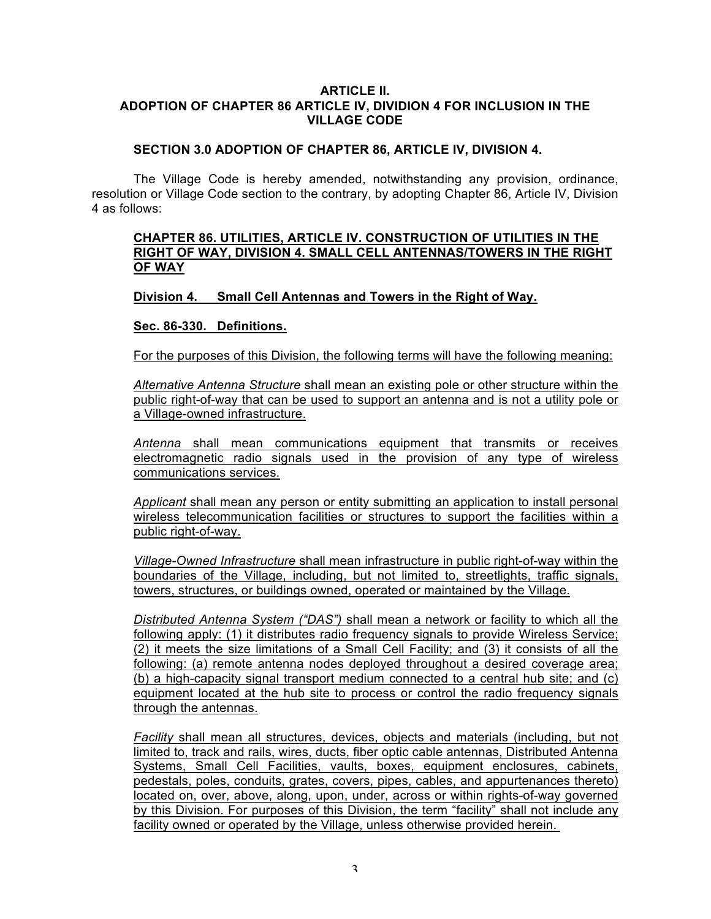#### **ARTICLE II. ADOPTION OF CHAPTER 86 ARTICLE IV, DIVIDION 4 FOR INCLUSION IN THE VILLAGE CODE**

# **SECTION 3.0 ADOPTION OF CHAPTER 86, ARTICLE IV, DIVISION 4.**

The Village Code is hereby amended, notwithstanding any provision, ordinance, resolution or Village Code section to the contrary, by adopting Chapter 86, Article IV, Division 4 as follows:

# **CHAPTER 86. UTILITIES, ARTICLE IV. CONSTRUCTION OF UTILITIES IN THE RIGHT OF WAY, DIVISION 4. SMALL CELL ANTENNAS/TOWERS IN THE RIGHT OF WAY**

# **Division 4. Small Cell Antennas and Towers in the Right of Way.**

# **Sec. 86-330. Definitions.**

For the purposes of this Division, the following terms will have the following meaning:

*Alternative Antenna Structure* shall mean an existing pole or other structure within the public right-of-way that can be used to support an antenna and is not a utility pole or a Village-owned infrastructure.

*Antenna* shall mean communications equipment that transmits or receives electromagnetic radio signals used in the provision of any type of wireless communications services.

*Applicant* shall mean any person or entity submitting an application to install personal wireless telecommunication facilities or structures to support the facilities within a public right-of-way.

*Village-Owned Infrastructure* shall mean infrastructure in public right-of-way within the boundaries of the Village, including, but not limited to, streetlights, traffic signals, towers, structures, or buildings owned, operated or maintained by the Village.

*Distributed Antenna System ("DAS")* shall mean a network or facility to which all the following apply: (1) it distributes radio frequency signals to provide Wireless Service; (2) it meets the size limitations of a Small Cell Facility; and (3) it consists of all the following: (a) remote antenna nodes deployed throughout a desired coverage area; (b) a high-capacity signal transport medium connected to a central hub site; and (c) equipment located at the hub site to process or control the radio frequency signals through the antennas.

*Facility* shall mean all structures, devices, objects and materials (including, but not limited to, track and rails, wires, ducts, fiber optic cable antennas, Distributed Antenna Systems, Small Cell Facilities, vaults, boxes, equipment enclosures, cabinets, pedestals, poles, conduits, grates, covers, pipes, cables, and appurtenances thereto) located on, over, above, along, upon, under, across or within rights-of-way governed by this Division. For purposes of this Division, the term "facility" shall not include any facility owned or operated by the Village, unless otherwise provided herein.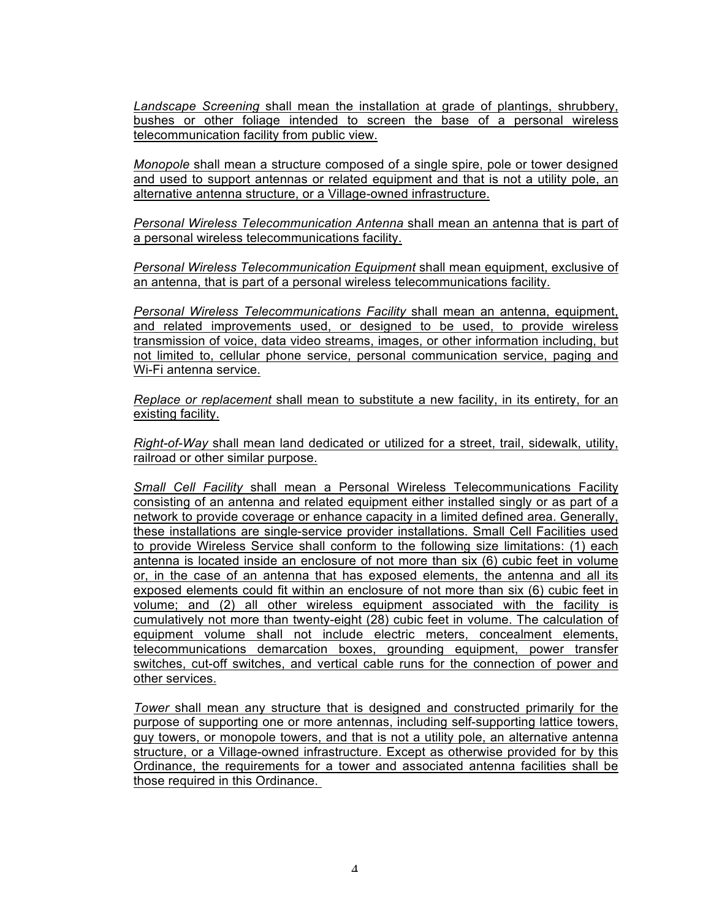*Landscape Screening* shall mean the installation at grade of plantings, shrubbery, bushes or other foliage intended to screen the base of a personal wireless telecommunication facility from public view.

*Monopole* shall mean a structure composed of a single spire, pole or tower designed and used to support antennas or related equipment and that is not a utility pole, an alternative antenna structure, or a Village-owned infrastructure.

*Personal Wireless Telecommunication Antenna* shall mean an antenna that is part of a personal wireless telecommunications facility.

*Personal Wireless Telecommunication Equipment* shall mean equipment, exclusive of an antenna, that is part of a personal wireless telecommunications facility.

*Personal Wireless Telecommunications Facility* shall mean an antenna, equipment, and related improvements used, or designed to be used, to provide wireless transmission of voice, data video streams, images, or other information including, but not limited to, cellular phone service, personal communication service, paging and Wi-Fi antenna service.

*Replace or replacement* shall mean to substitute a new facility, in its entirety, for an existing facility.

*Right-of-Way* shall mean land dedicated or utilized for a street, trail, sidewalk, utility, railroad or other similar purpose.

*Small Cell Facility* shall mean a Personal Wireless Telecommunications Facility consisting of an antenna and related equipment either installed singly or as part of a network to provide coverage or enhance capacity in a limited defined area. Generally, these installations are single-service provider installations. Small Cell Facilities used to provide Wireless Service shall conform to the following size limitations: (1) each antenna is located inside an enclosure of not more than six (6) cubic feet in volume or, in the case of an antenna that has exposed elements, the antenna and all its exposed elements could fit within an enclosure of not more than six (6) cubic feet in volume; and (2) all other wireless equipment associated with the facility is cumulatively not more than twenty-eight (28) cubic feet in volume. The calculation of equipment volume shall not include electric meters, concealment elements, telecommunications demarcation boxes, grounding equipment, power transfer switches, cut-off switches, and vertical cable runs for the connection of power and other services.

*Tower* shall mean any structure that is designed and constructed primarily for the purpose of supporting one or more antennas, including self-supporting lattice towers, guy towers, or monopole towers, and that is not a utility pole, an alternative antenna structure, or a Village-owned infrastructure. Except as otherwise provided for by this Ordinance, the requirements for a tower and associated antenna facilities shall be those required in this Ordinance.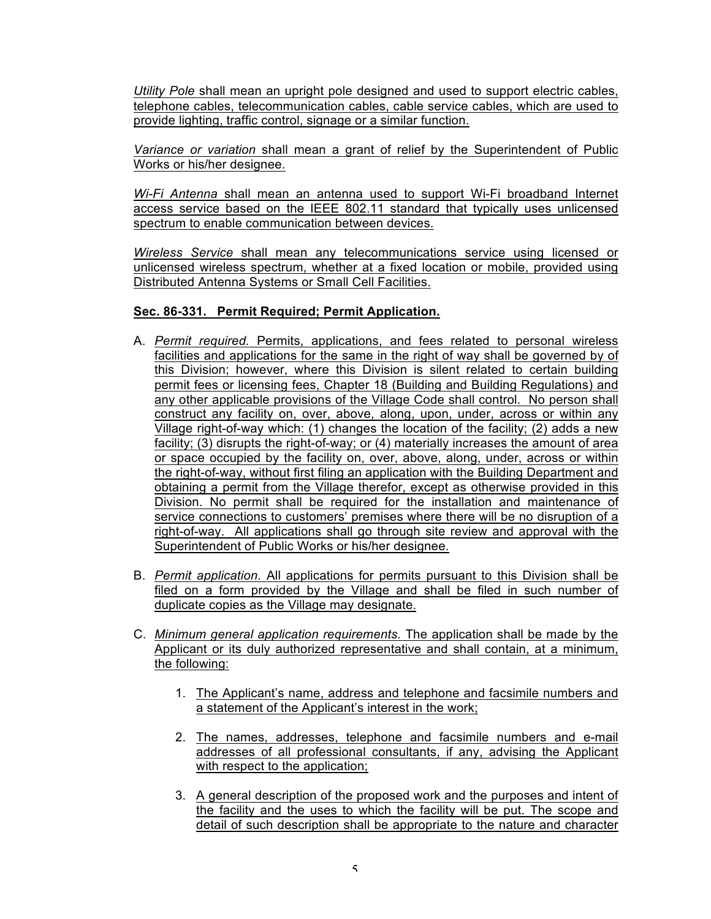*Utility Pole* shall mean an upright pole designed and used to support electric cables, telephone cables, telecommunication cables, cable service cables, which are used to provide lighting, traffic control, signage or a similar function.

*Variance or variation* shall mean a grant of relief by the Superintendent of Public Works or his/her designee.

*Wi-Fi Antenna* shall mean an antenna used to support Wi-Fi broadband Internet access service based on the IEEE 802.11 standard that typically uses unlicensed spectrum to enable communication between devices.

*Wireless Service* shall mean any telecommunications service using licensed or unlicensed wireless spectrum, whether at a fixed location or mobile, provided using Distributed Antenna Systems or Small Cell Facilities.

# **Sec. 86-331. Permit Required; Permit Application.**

- A. *Permit required.* Permits, applications, and fees related to personal wireless facilities and applications for the same in the right of way shall be governed by of this Division; however, where this Division is silent related to certain building permit fees or licensing fees, Chapter 18 (Building and Building Regulations) and any other applicable provisions of the Village Code shall control. No person shall construct any facility on, over, above, along, upon, under, across or within any Village right-of-way which: (1) changes the location of the facility; (2) adds a new facility; (3) disrupts the right-of-way; or (4) materially increases the amount of area or space occupied by the facility on, over, above, along, under, across or within the right-of-way, without first filing an application with the Building Department and obtaining a permit from the Village therefor, except as otherwise provided in this Division. No permit shall be required for the installation and maintenance of service connections to customers' premises where there will be no disruption of a right-of-way. All applications shall go through site review and approval with the Superintendent of Public Works or his/her designee.
- B. *Permit application.* All applications for permits pursuant to this Division shall be filed on a form provided by the Village and shall be filed in such number of duplicate copies as the Village may designate.
- C. *Minimum general application requirements.* The application shall be made by the Applicant or its duly authorized representative and shall contain, at a minimum, the following:
	- 1. The Applicant's name, address and telephone and facsimile numbers and a statement of the Applicant's interest in the work;
	- 2. The names, addresses, telephone and facsimile numbers and e-mail addresses of all professional consultants, if any, advising the Applicant with respect to the application;
	- 3. A general description of the proposed work and the purposes and intent of the facility and the uses to which the facility will be put. The scope and detail of such description shall be appropriate to the nature and character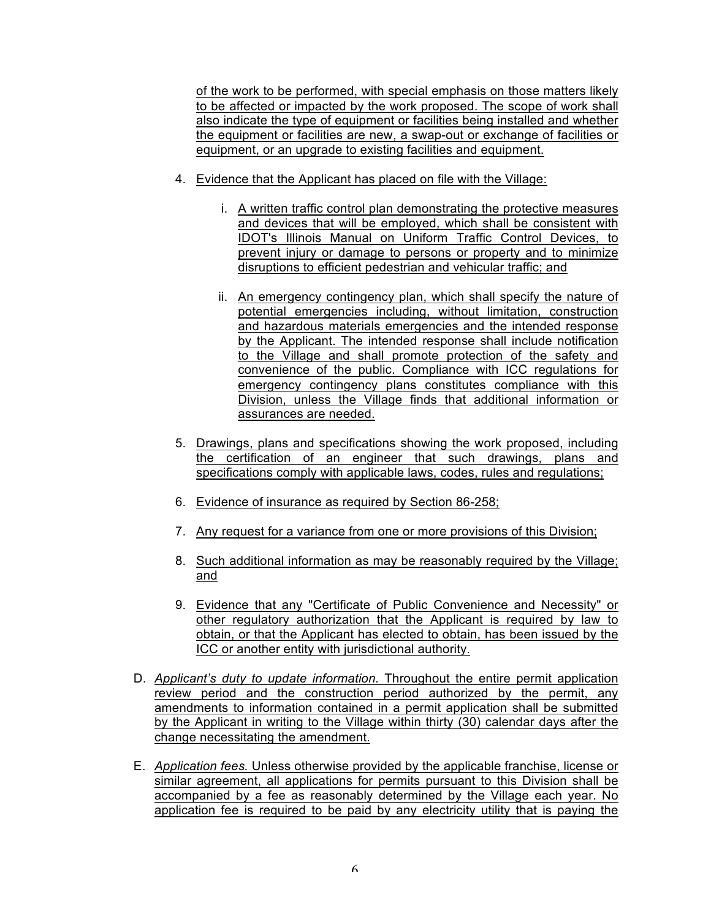of the work to be performed, with special emphasis on those matters likely to be affected or impacted by the work proposed. The scope of work shall also indicate the type of equipment or facilities being installed and whether the equipment or facilities are new, a swap-out or exchange of facilities or equipment, or an upgrade to existing facilities and equipment.

- 4. Evidence that the Applicant has placed on file with the Village:
	- i. A written traffic control plan demonstrating the protective measures and devices that will be employed, which shall be consistent with IDOT's Illinois Manual on Uniform Traffic Control Devices, to prevent injury or damage to persons or property and to minimize disruptions to efficient pedestrian and vehicular traffic; and
	- ii. An emergency contingency plan, which shall specify the nature of potential emergencies including, without limitation, construction and hazardous materials emergencies and the intended response by the Applicant. The intended response shall include notification to the Village and shall promote protection of the safety and convenience of the public. Compliance with ICC regulations for emergency contingency plans constitutes compliance with this Division, unless the Village finds that additional information or assurances are needed.
- 5. Drawings, plans and specifications showing the work proposed, including the certification of an engineer that such drawings, plans and specifications comply with applicable laws, codes, rules and regulations;
- 6. Evidence of insurance as required by Section 86-258;
- 7. Any request for a variance from one or more provisions of this Division;
- 8. Such additional information as may be reasonably required by the Village; and
- 9. Evidence that any "Certificate of Public Convenience and Necessity" or other regulatory authorization that the Applicant is required by law to obtain, or that the Applicant has elected to obtain, has been issued by the ICC or another entity with jurisdictional authority.
- D. *Applicant's duty to update information.* Throughout the entire permit application review period and the construction period authorized by the permit, any amendments to information contained in a permit application shall be submitted by the Applicant in writing to the Village within thirty (30) calendar days after the change necessitating the amendment.
- E. *Application fees.* Unless otherwise provided by the applicable franchise, license or similar agreement, all applications for permits pursuant to this Division shall be accompanied by a fee as reasonably determined by the Village each year. No application fee is required to be paid by any electricity utility that is paying the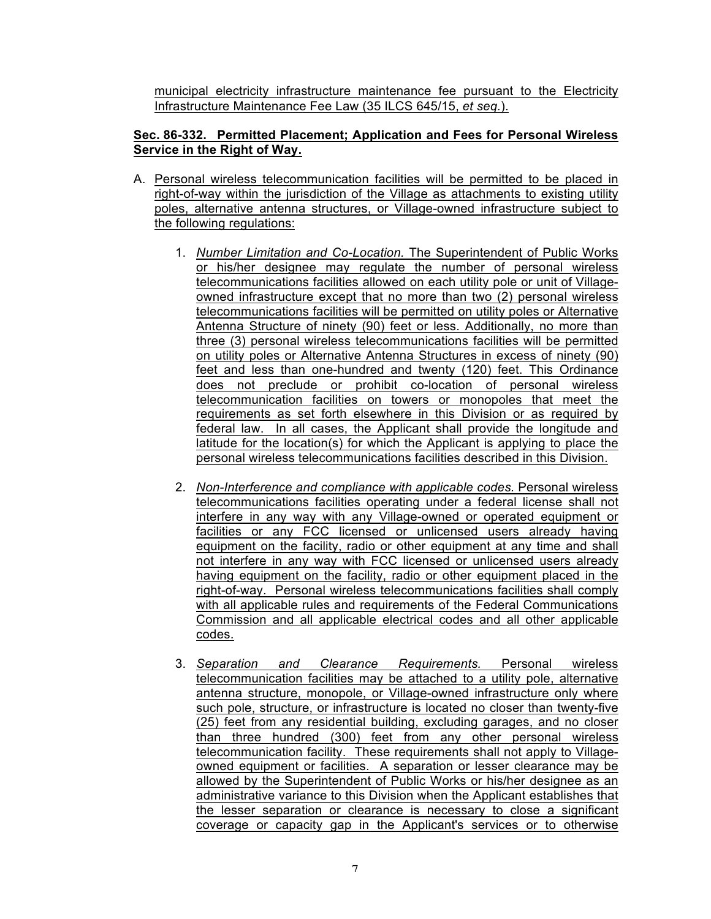municipal electricity infrastructure maintenance fee pursuant to the Electricity Infrastructure Maintenance Fee Law (35 ILCS 645/15, *et seq.*).

# **Sec. 86-332. Permitted Placement; Application and Fees for Personal Wireless Service in the Right of Way.**

- A. Personal wireless telecommunication facilities will be permitted to be placed in right-of-way within the jurisdiction of the Village as attachments to existing utility poles, alternative antenna structures, or Village-owned infrastructure subject to the following regulations:
	- 1. *Number Limitation and Co-Location.* The Superintendent of Public Works or his/her designee may regulate the number of personal wireless telecommunications facilities allowed on each utility pole or unit of Villageowned infrastructure except that no more than two (2) personal wireless telecommunications facilities will be permitted on utility poles or Alternative Antenna Structure of ninety (90) feet or less. Additionally, no more than three (3) personal wireless telecommunications facilities will be permitted on utility poles or Alternative Antenna Structures in excess of ninety (90) feet and less than one-hundred and twenty (120) feet. This Ordinance does not preclude or prohibit co-location of personal wireless telecommunication facilities on towers or monopoles that meet the requirements as set forth elsewhere in this Division or as required by federal law. In all cases, the Applicant shall provide the longitude and latitude for the location(s) for which the Applicant is applying to place the personal wireless telecommunications facilities described in this Division.
	- 2. *Non-Interference and compliance with applicable codes.* Personal wireless telecommunications facilities operating under a federal license shall not interfere in any way with any Village-owned or operated equipment or facilities or any FCC licensed or unlicensed users already having equipment on the facility, radio or other equipment at any time and shall not interfere in any way with FCC licensed or unlicensed users already having equipment on the facility, radio or other equipment placed in the right-of-way. Personal wireless telecommunications facilities shall comply with all applicable rules and requirements of the Federal Communications Commission and all applicable electrical codes and all other applicable codes.
	- 3. *Separation and Clearance Requirements.* Personal wireless telecommunication facilities may be attached to a utility pole, alternative antenna structure, monopole, or Village-owned infrastructure only where such pole, structure, or infrastructure is located no closer than twenty-five (25) feet from any residential building, excluding garages, and no closer than three hundred (300) feet from any other personal wireless telecommunication facility. These requirements shall not apply to Villageowned equipment or facilities. A separation or lesser clearance may be allowed by the Superintendent of Public Works or his/her designee as an administrative variance to this Division when the Applicant establishes that the lesser separation or clearance is necessary to close a significant coverage or capacity gap in the Applicant's services or to otherwise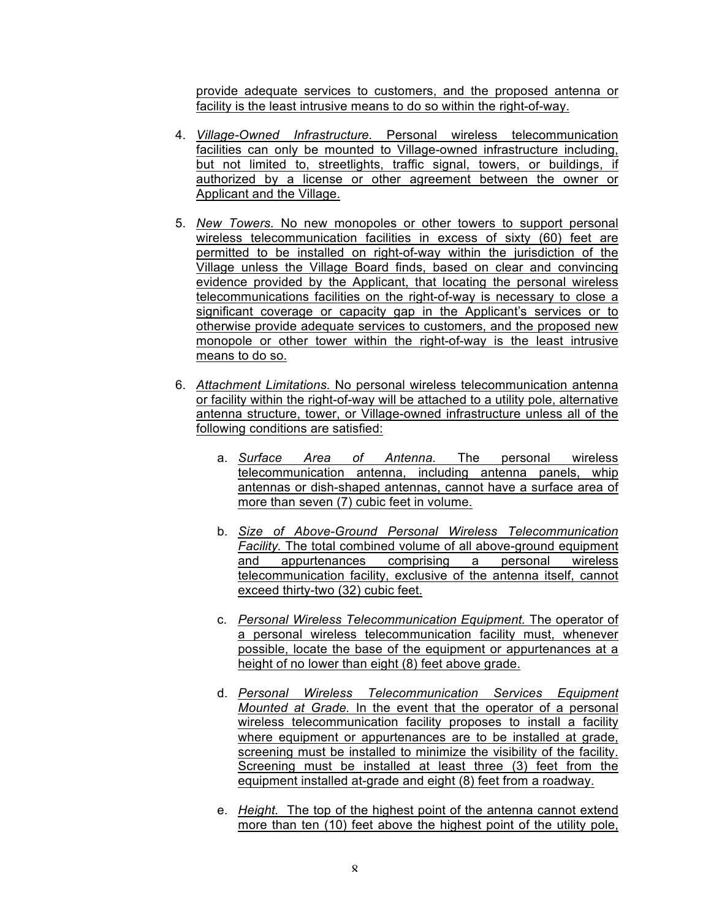provide adequate services to customers, and the proposed antenna or facility is the least intrusive means to do so within the right-of-way.

- 4. *Village-Owned Infrastructure.* Personal wireless telecommunication facilities can only be mounted to Village-owned infrastructure including, but not limited to, streetlights, traffic signal, towers, or buildings, if authorized by a license or other agreement between the owner or Applicant and the Village.
- 5. *New Towers.* No new monopoles or other towers to support personal wireless telecommunication facilities in excess of sixty (60) feet are permitted to be installed on right-of-way within the jurisdiction of the Village unless the Village Board finds, based on clear and convincing evidence provided by the Applicant, that locating the personal wireless telecommunications facilities on the right-of-way is necessary to close a significant coverage or capacity gap in the Applicant's services or to otherwise provide adequate services to customers, and the proposed new monopole or other tower within the right-of-way is the least intrusive means to do so.
- 6. *Attachment Limitations.* No personal wireless telecommunication antenna or facility within the right-of-way will be attached to a utility pole, alternative antenna structure, tower, or Village-owned infrastructure unless all of the following conditions are satisfied:
	- a. *Surface Area of Antenna.* The personal wireless telecommunication antenna, including antenna panels, whip antennas or dish-shaped antennas, cannot have a surface area of more than seven (7) cubic feet in volume.
	- b. *Size of Above-Ground Personal Wireless Telecommunication Facility.* The total combined volume of all above-ground equipment and appurtenances comprising a personal wireless telecommunication facility, exclusive of the antenna itself, cannot exceed thirty-two (32) cubic feet.
	- c. *Personal Wireless Telecommunication Equipment.* The operator of a personal wireless telecommunication facility must, whenever possible, locate the base of the equipment or appurtenances at a height of no lower than eight (8) feet above grade.
	- d. *Personal Wireless Telecommunication Services Equipment Mounted at Grade.* In the event that the operator of a personal wireless telecommunication facility proposes to install a facility where equipment or appurtenances are to be installed at grade, screening must be installed to minimize the visibility of the facility. Screening must be installed at least three (3) feet from the equipment installed at-grade and eight (8) feet from a roadway.
	- e. *Height.* The top of the highest point of the antenna cannot extend more than ten (10) feet above the highest point of the utility pole,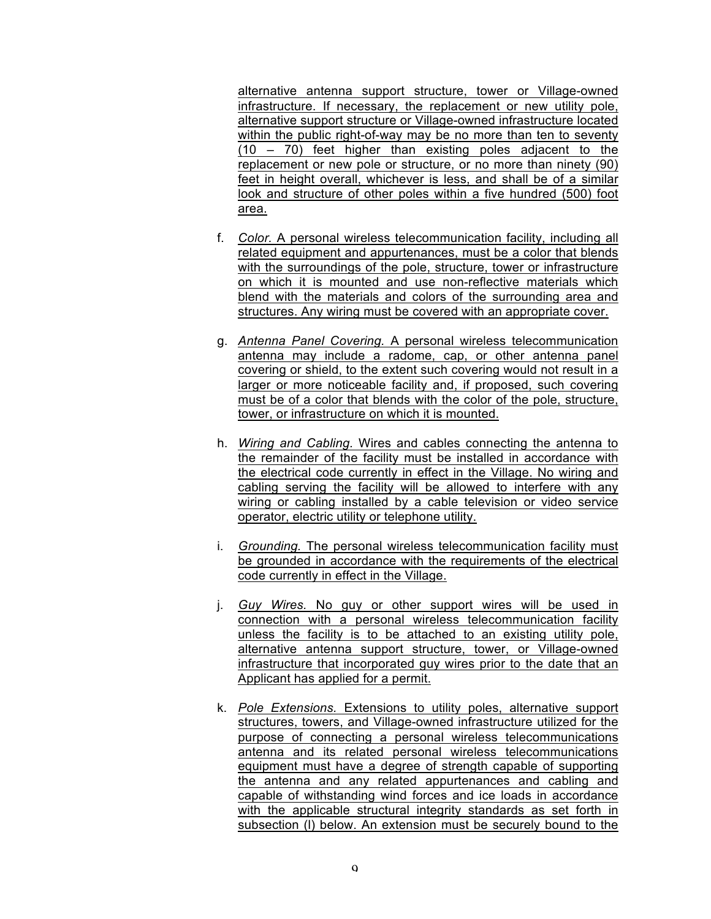alternative antenna support structure, tower or Village-owned infrastructure. If necessary, the replacement or new utility pole, alternative support structure or Village-owned infrastructure located within the public right-of-way may be no more than ten to seventy (10 – 70) feet higher than existing poles adjacent to the replacement or new pole or structure, or no more than ninety (90) feet in height overall, whichever is less, and shall be of a similar look and structure of other poles within a five hundred (500) foot area.

- f. *Color.* A personal wireless telecommunication facility, including all related equipment and appurtenances, must be a color that blends with the surroundings of the pole, structure, tower or infrastructure on which it is mounted and use non-reflective materials which blend with the materials and colors of the surrounding area and structures. Any wiring must be covered with an appropriate cover.
- g. *Antenna Panel Covering.* A personal wireless telecommunication antenna may include a radome, cap, or other antenna panel covering or shield, to the extent such covering would not result in a larger or more noticeable facility and, if proposed, such covering must be of a color that blends with the color of the pole, structure, tower, or infrastructure on which it is mounted.
- h. *Wiring and Cabling.* Wires and cables connecting the antenna to the remainder of the facility must be installed in accordance with the electrical code currently in effect in the Village. No wiring and cabling serving the facility will be allowed to interfere with any wiring or cabling installed by a cable television or video service operator, electric utility or telephone utility.
- i. *Grounding.* The personal wireless telecommunication facility must be grounded in accordance with the requirements of the electrical code currently in effect in the Village.
- j. *Guy Wires.* No guy or other support wires will be used in connection with a personal wireless telecommunication facility unless the facility is to be attached to an existing utility pole, alternative antenna support structure, tower, or Village-owned infrastructure that incorporated guy wires prior to the date that an Applicant has applied for a permit.
- k. *Pole Extensions.* Extensions to utility poles, alternative support structures, towers, and Village-owned infrastructure utilized for the purpose of connecting a personal wireless telecommunications antenna and its related personal wireless telecommunications equipment must have a degree of strength capable of supporting the antenna and any related appurtenances and cabling and capable of withstanding wind forces and ice loads in accordance with the applicable structural integrity standards as set forth in subsection (l) below. An extension must be securely bound to the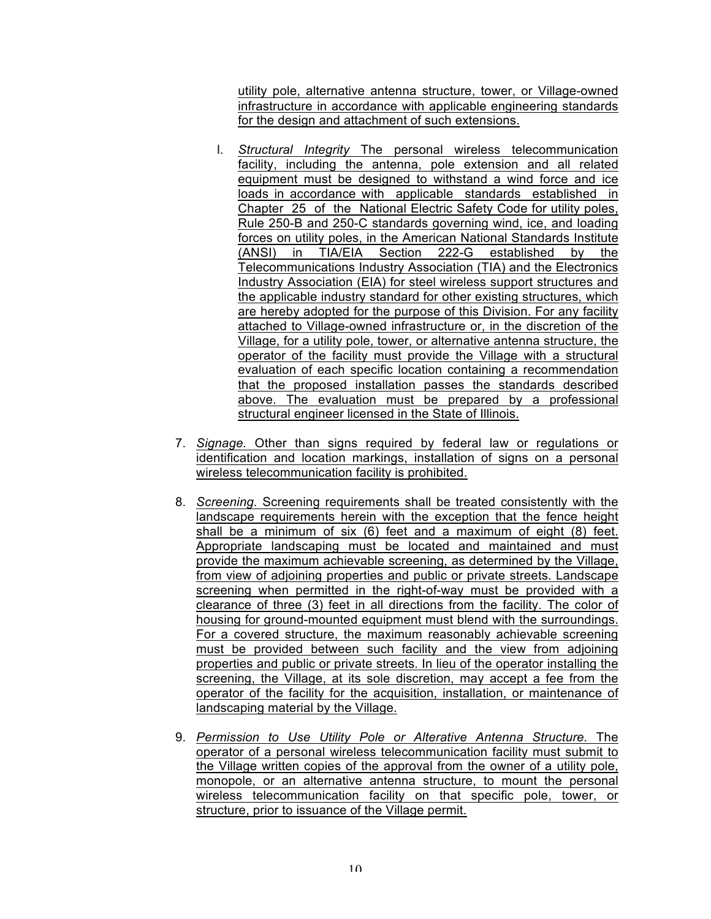utility pole, alternative antenna structure, tower, or Village-owned infrastructure in accordance with applicable engineering standards for the design and attachment of such extensions.

- l. *Structural Integrity* The personal wireless telecommunication facility, including the antenna, pole extension and all related equipment must be designed to withstand a wind force and ice loads in accordance with applicable standards established in Chapter 25 of the National Electric Safety Code for utility poles, Rule 250-B and 250-C standards governing wind, ice, and loading forces on utility poles, in the American National Standards Institute (ANSI) in TIA/EIA Section 222-G established by the Telecommunications Industry Association (TIA) and the Electronics Industry Association (EIA) for steel wireless support structures and the applicable industry standard for other existing structures, which are hereby adopted for the purpose of this Division. For any facility attached to Village-owned infrastructure or, in the discretion of the Village, for a utility pole, tower, or alternative antenna structure, the operator of the facility must provide the Village with a structural evaluation of each specific location containing a recommendation that the proposed installation passes the standards described above. The evaluation must be prepared by a professional structural engineer licensed in the State of Illinois.
- 7. *Signage.* Other than signs required by federal law or regulations or identification and location markings, installation of signs on a personal wireless telecommunication facility is prohibited.
- 8. *Screening.* Screening requirements shall be treated consistently with the landscape requirements herein with the exception that the fence height shall be a minimum of six (6) feet and a maximum of eight (8) feet. Appropriate landscaping must be located and maintained and must provide the maximum achievable screening, as determined by the Village, from view of adjoining properties and public or private streets. Landscape screening when permitted in the right-of-way must be provided with a clearance of three (3) feet in all directions from the facility. The color of housing for ground-mounted equipment must blend with the surroundings. For a covered structure, the maximum reasonably achievable screening must be provided between such facility and the view from adjoining properties and public or private streets. In lieu of the operator installing the screening, the Village, at its sole discretion, may accept a fee from the operator of the facility for the acquisition, installation, or maintenance of landscaping material by the Village.
- 9. *Permission to Use Utility Pole or Alterative Antenna Structure.* The operator of a personal wireless telecommunication facility must submit to the Village written copies of the approval from the owner of a utility pole, monopole, or an alternative antenna structure, to mount the personal wireless telecommunication facility on that specific pole, tower, or structure, prior to issuance of the Village permit.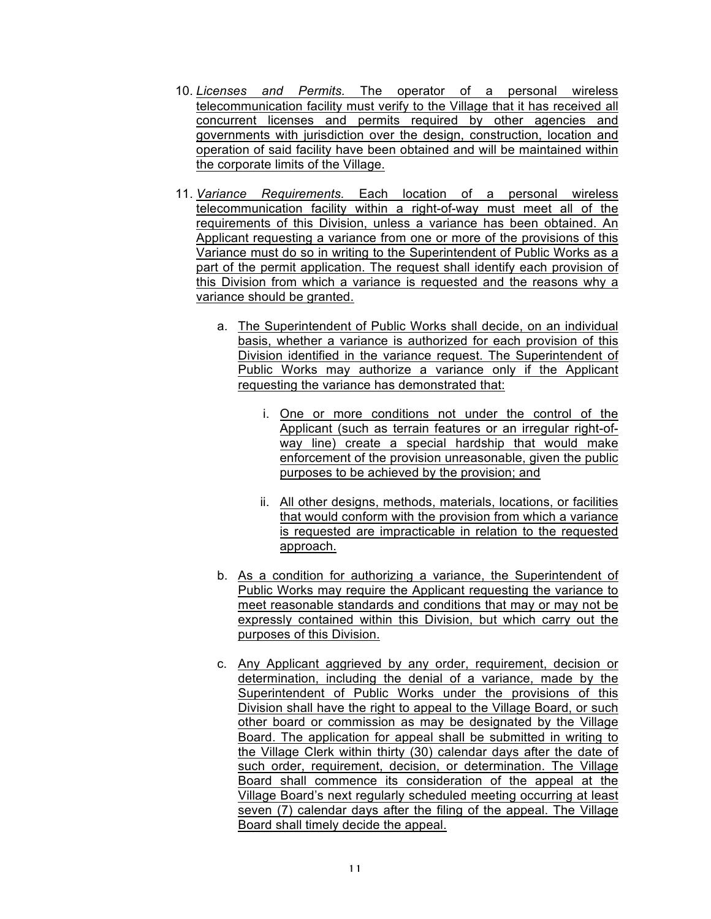- 10. *Licenses and Permits.* The operator of a personal wireless telecommunication facility must verify to the Village that it has received all concurrent licenses and permits required by other agencies and governments with jurisdiction over the design, construction, location and operation of said facility have been obtained and will be maintained within the corporate limits of the Village.
- 11. *Variance Requirements.* Each location of a personal wireless telecommunication facility within a right-of-way must meet all of the requirements of this Division, unless a variance has been obtained. An Applicant requesting a variance from one or more of the provisions of this Variance must do so in writing to the Superintendent of Public Works as a part of the permit application. The request shall identify each provision of this Division from which a variance is requested and the reasons why a variance should be granted.
	- a. The Superintendent of Public Works shall decide, on an individual basis, whether a variance is authorized for each provision of this Division identified in the variance request. The Superintendent of Public Works may authorize a variance only if the Applicant requesting the variance has demonstrated that:
		- i. One or more conditions not under the control of the Applicant (such as terrain features or an irregular right-ofway line) create a special hardship that would make enforcement of the provision unreasonable, given the public purposes to be achieved by the provision; and
		- ii. All other designs, methods, materials, locations, or facilities that would conform with the provision from which a variance is requested are impracticable in relation to the requested approach.
	- b. As a condition for authorizing a variance, the Superintendent of Public Works may require the Applicant requesting the variance to meet reasonable standards and conditions that may or may not be expressly contained within this Division, but which carry out the purposes of this Division.
	- c. Any Applicant aggrieved by any order, requirement, decision or determination, including the denial of a variance, made by the Superintendent of Public Works under the provisions of this Division shall have the right to appeal to the Village Board, or such other board or commission as may be designated by the Village Board. The application for appeal shall be submitted in writing to the Village Clerk within thirty (30) calendar days after the date of such order, requirement, decision, or determination. The Village Board shall commence its consideration of the appeal at the Village Board's next regularly scheduled meeting occurring at least seven (7) calendar days after the filing of the appeal. The Village Board shall timely decide the appeal.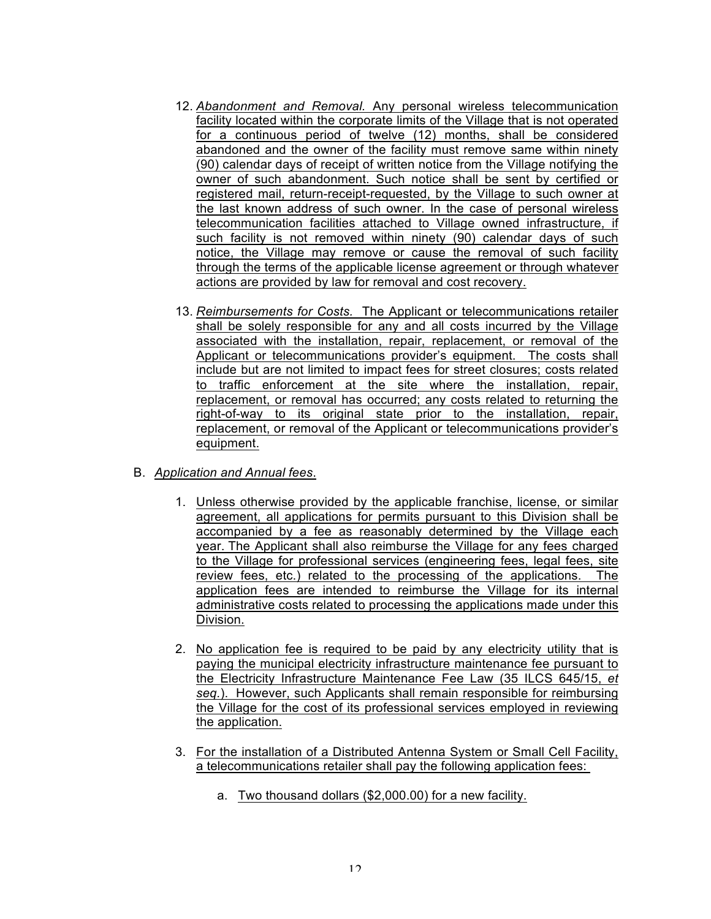- 12. *Abandonment and Removal.* Any personal wireless telecommunication facility located within the corporate limits of the Village that is not operated for a continuous period of twelve (12) months, shall be considered abandoned and the owner of the facility must remove same within ninety (90) calendar days of receipt of written notice from the Village notifying the owner of such abandonment. Such notice shall be sent by certified or registered mail, return-receipt-requested, by the Village to such owner at the last known address of such owner. In the case of personal wireless telecommunication facilities attached to Village owned infrastructure, if such facility is not removed within ninety (90) calendar days of such notice, the Village may remove or cause the removal of such facility through the terms of the applicable license agreement or through whatever actions are provided by law for removal and cost recovery.
- 13. *Reimbursements for Costs.* The Applicant or telecommunications retailer shall be solely responsible for any and all costs incurred by the Village associated with the installation, repair, replacement, or removal of the Applicant or telecommunications provider's equipment. The costs shall include but are not limited to impact fees for street closures; costs related to traffic enforcement at the site where the installation, repair, replacement, or removal has occurred; any costs related to returning the right-of-way to its original state prior to the installation, repair, replacement, or removal of the Applicant or telecommunications provider's equipment.
- B. *Application and Annual fees*.
	- 1. Unless otherwise provided by the applicable franchise, license, or similar agreement, all applications for permits pursuant to this Division shall be accompanied by a fee as reasonably determined by the Village each year. The Applicant shall also reimburse the Village for any fees charged to the Village for professional services (engineering fees, legal fees, site review fees, etc.) related to the processing of the applications. The application fees are intended to reimburse the Village for its internal administrative costs related to processing the applications made under this Division.
	- 2. No application fee is required to be paid by any electricity utility that is paying the municipal electricity infrastructure maintenance fee pursuant to the Electricity Infrastructure Maintenance Fee Law (35 ILCS 645/15, *et seq.*). However, such Applicants shall remain responsible for reimbursing the Village for the cost of its professional services employed in reviewing the application.
	- 3. For the installation of a Distributed Antenna System or Small Cell Facility, a telecommunications retailer shall pay the following application fees:
		- a. Two thousand dollars (\$2,000.00) for a new facility.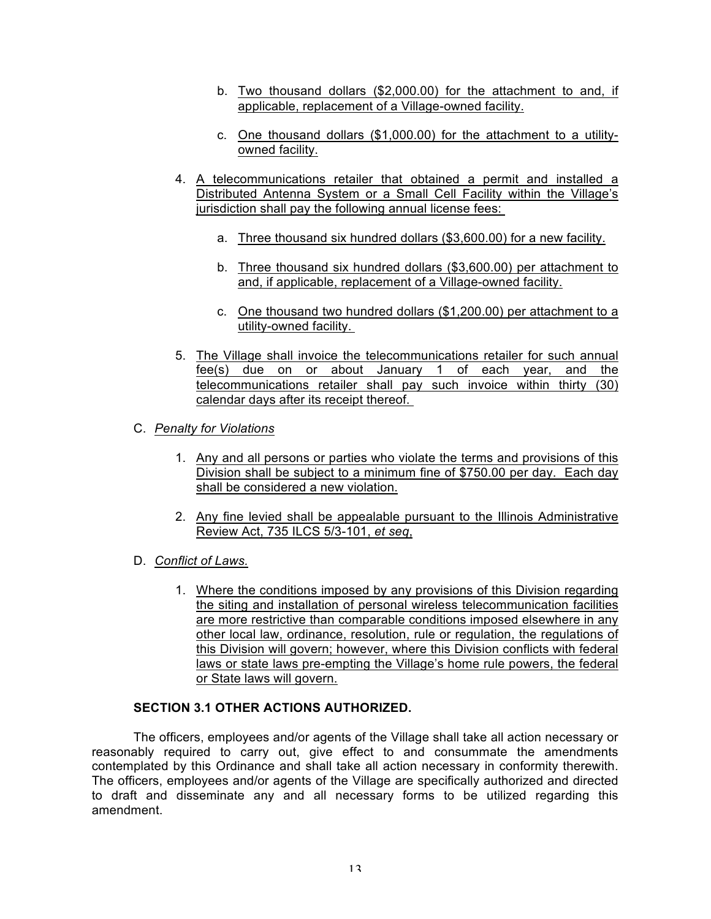- b. Two thousand dollars (\$2,000.00) for the attachment to and, if applicable, replacement of a Village-owned facility.
- c. One thousand dollars (\$1,000.00) for the attachment to a utilityowned facility.
- 4. A telecommunications retailer that obtained a permit and installed a Distributed Antenna System or a Small Cell Facility within the Village's jurisdiction shall pay the following annual license fees:
	- a. Three thousand six hundred dollars (\$3,600.00) for a new facility.
	- b. Three thousand six hundred dollars (\$3,600.00) per attachment to and, if applicable, replacement of a Village-owned facility.
	- c. One thousand two hundred dollars (\$1,200.00) per attachment to a utility-owned facility.
- 5. The Village shall invoice the telecommunications retailer for such annual fee(s) due on or about January 1 of each year, and the telecommunications retailer shall pay such invoice within thirty (30) calendar days after its receipt thereof.
- C. *Penalty for Violations*
	- 1. Any and all persons or parties who violate the terms and provisions of this Division shall be subject to a minimum fine of \$750.00 per day. Each day shall be considered a new violation.
	- 2. Any fine levied shall be appealable pursuant to the Illinois Administrative Review Act, 735 ILCS 5/3-101, *et seq*,
- D. *Conflict of Laws.* 
	- 1. Where the conditions imposed by any provisions of this Division regarding the siting and installation of personal wireless telecommunication facilities are more restrictive than comparable conditions imposed elsewhere in any other local law, ordinance, resolution, rule or regulation, the regulations of this Division will govern; however, where this Division conflicts with federal laws or state laws pre-empting the Village's home rule powers, the federal or State laws will govern.

# **SECTION 3.1 OTHER ACTIONS AUTHORIZED.**

The officers, employees and/or agents of the Village shall take all action necessary or reasonably required to carry out, give effect to and consummate the amendments contemplated by this Ordinance and shall take all action necessary in conformity therewith. The officers, employees and/or agents of the Village are specifically authorized and directed to draft and disseminate any and all necessary forms to be utilized regarding this amendment.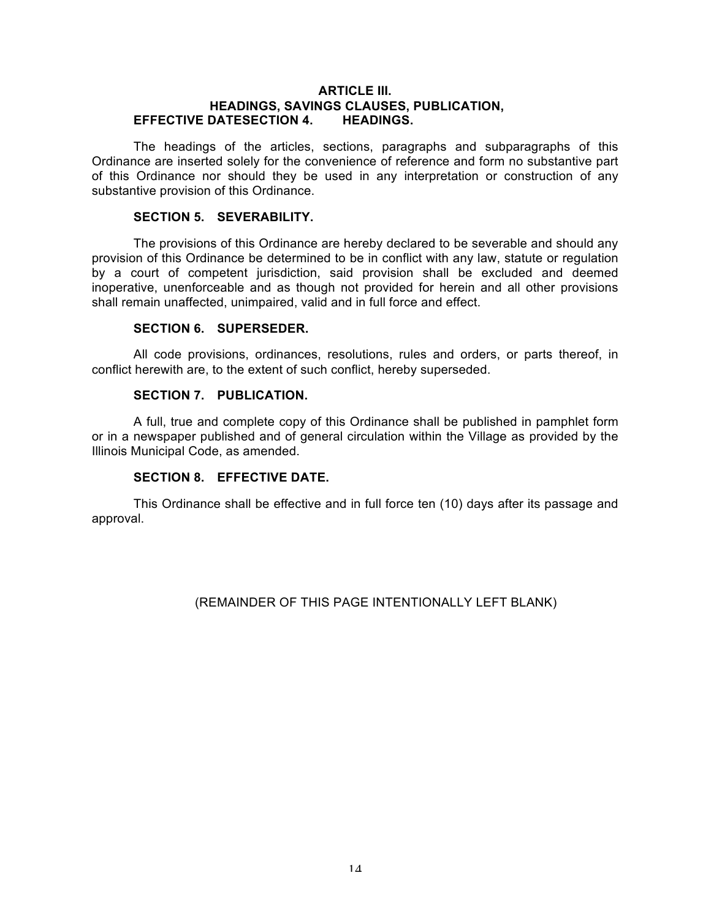#### **ARTICLE III. HEADINGS, SAVINGS CLAUSES, PUBLICATION, EFFECTIVE DATESECTION 4. HEADINGS.**

The headings of the articles, sections, paragraphs and subparagraphs of this Ordinance are inserted solely for the convenience of reference and form no substantive part of this Ordinance nor should they be used in any interpretation or construction of any substantive provision of this Ordinance.

#### **SECTION 5. SEVERABILITY.**

The provisions of this Ordinance are hereby declared to be severable and should any provision of this Ordinance be determined to be in conflict with any law, statute or regulation by a court of competent jurisdiction, said provision shall be excluded and deemed inoperative, unenforceable and as though not provided for herein and all other provisions shall remain unaffected, unimpaired, valid and in full force and effect.

## **SECTION 6. SUPERSEDER.**

All code provisions, ordinances, resolutions, rules and orders, or parts thereof, in conflict herewith are, to the extent of such conflict, hereby superseded.

#### **SECTION 7. PUBLICATION.**

A full, true and complete copy of this Ordinance shall be published in pamphlet form or in a newspaper published and of general circulation within the Village as provided by the Illinois Municipal Code, as amended.

# **SECTION 8. EFFECTIVE DATE.**

This Ordinance shall be effective and in full force ten (10) days after its passage and approval.

(REMAINDER OF THIS PAGE INTENTIONALLY LEFT BLANK)